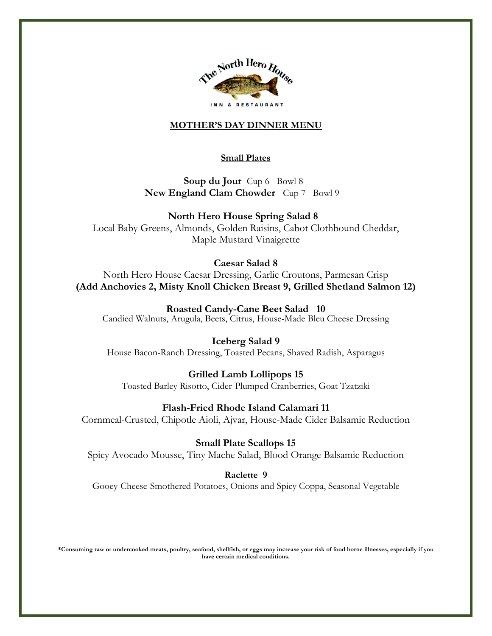

#### **MOTHER'S DAY DINNER MENU**

#### **Small Plates**

 **Soup du Jour** Cup 6 Bowl 8 **New England Clam Chowder** Cup 7 Bowl 9

 **North Hero House Spring Salad 8**

Local Baby Greens, Almonds, Golden Raisins, Cabot Clothbound Cheddar, Maple Mustard Vinaigrette

### **Caesar Salad 8**

North Hero House Caesar Dressing, Garlic Croutons, Parmesan Crisp **(Add Anchovies 2, Misty Knoll Chicken Breast 9, Grilled Shetland Salmon 12)**

**Roasted Candy-Cane Beet Salad 10** Candied Walnuts, Arugula, Beets, Citrus, House-Made Bleu Cheese Dressing

#### **Iceberg Salad 9**

House Bacon-Ranch Dressing, Toasted Pecans, Shaved Radish, Asparagus

#### **Grilled Lamb Lollipops 15**

Toasted Barley Risotto, Cider-Plumped Cranberries, Goat Tzatziki

#### **Flash-Fried Rhode Island Calamari 11**

Cornmeal-Crusted, Chipotle Aioli, Ajvar, House-Made Cider Balsamic Reduction

#### **Small Plate Scallops 15**

Spicy Avocado Mousse, Tiny Mache Salad, Blood Orange Balsamic Reduction

**Raclette 9** 

Gooey-Cheese-Smothered Potatoes, Onions and Spicy Coppa, Seasonal Vegetable

**\*Consuming raw or undercooked meats, poultry, seafood, shellfish, or eggs may increase your risk of food borne illnesses, especially if you have certain medical conditions.**